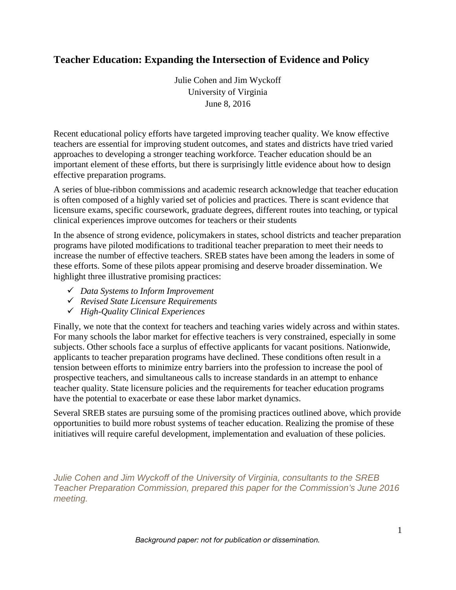# **Teacher Education: Expanding the Intersection of Evidence and Policy**

Julie Cohen and Jim Wyckoff University of Virginia June 8, 2016

Recent educational policy efforts have targeted improving teacher quality. We know effective teachers are essential for improving student outcomes, and states and districts have tried varied approaches to developing a stronger teaching workforce. Teacher education should be an important element of these efforts, but there is surprisingly little evidence about how to design effective preparation programs.

A series of blue-ribbon commissions and academic research acknowledge that teacher education is often composed of a highly varied set of policies and practices. There is scant evidence that licensure exams, specific coursework, graduate degrees, different routes into teaching, or typical clinical experiences improve outcomes for teachers or their students

In the absence of strong evidence, policymakers in states, school districts and teacher preparation programs have piloted modifications to traditional teacher preparation to meet their needs to increase the number of effective teachers. SREB states have been among the leaders in some of these efforts. Some of these pilots appear promising and deserve broader dissemination. We highlight three illustrative promising practices:

- *Data Systems to Inform Improvement*
- *Revised State Licensure Requirements*
- *High-Quality Clinical Experiences*

Finally, we note that the context for teachers and teaching varies widely across and within states. For many schools the labor market for effective teachers is very constrained, especially in some subjects. Other schools face a surplus of effective applicants for vacant positions. Nationwide, applicants to teacher preparation programs have declined. These conditions often result in a tension between efforts to minimize entry barriers into the profession to increase the pool of prospective teachers, and simultaneous calls to increase standards in an attempt to enhance teacher quality. State licensure policies and the requirements for teacher education programs have the potential to exacerbate or ease these labor market dynamics.

Several SREB states are pursuing some of the promising practices outlined above, which provide opportunities to build more robust systems of teacher education. Realizing the promise of these initiatives will require careful development, implementation and evaluation of these policies.

*Julie Cohen and Jim Wyckoff of the University of Virginia, consultants to the SREB Teacher Preparation Commission, prepared this paper for the Commission's June 2016 meeting.*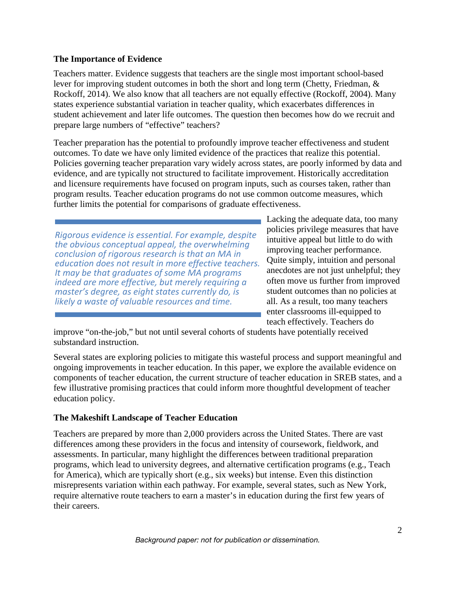## **The Importance of Evidence**

Teachers matter. Evidence suggests that teachers are the single most important school-based lever for improving student outcomes in both the short and long term (Chetty, Friedman, & Rockoff, 2014). We also know that all teachers are not equally effective (Rockoff, 2004). Many states experience substantial variation in teacher quality, which exacerbates differences in student achievement and later life outcomes. The question then becomes how do we recruit and prepare large numbers of "effective" teachers?

Teacher preparation has the potential to profoundly improve teacher effectiveness and student outcomes. To date we have only limited evidence of the practices that realize this potential. Policies governing teacher preparation vary widely across states, are poorly informed by data and evidence, and are typically not structured to facilitate improvement. Historically accreditation and licensure requirements have focused on program inputs, such as courses taken, rather than program results. Teacher education programs do not use common outcome measures, which further limits the potential for comparisons of graduate effectiveness.

*Rigorous evidence is essential. For example, despite the obvious conceptual appeal, the overwhelming conclusion of rigorous research is that an MA in education does not result in more effective teachers. It may be that graduates of some MA programs indeed are more effective, but merely requiring a master's degree, as eight states currently do, is likely a waste of valuable resources and time.*

Lacking the adequate data, too many policies privilege measures that have intuitive appeal but little to do with improving teacher performance. Quite simply, intuition and personal anecdotes are not just unhelpful; they often move us further from improved student outcomes than no policies at all. As a result, too many teachers enter classrooms ill-equipped to teach effectively. Teachers do

improve "on-the-job," but not until several cohorts of students have potentially received substandard instruction.

Several states are exploring policies to mitigate this wasteful process and support meaningful and ongoing improvements in teacher education. In this paper, we explore the available evidence on components of teacher education, the current structure of teacher education in SREB states, and a few illustrative promising practices that could inform more thoughtful development of teacher education policy.

## **The Makeshift Landscape of Teacher Education**

Teachers are prepared by more than 2,000 providers across the United States. There are vast differences among these providers in the focus and intensity of coursework, fieldwork, and assessments. In particular, many highlight the differences between traditional preparation programs, which lead to university degrees, and alternative certification programs (e.g., Teach for America), which are typically short (e.g., six weeks) but intense. Even this distinction misrepresents variation within each pathway. For example, several states, such as New York, require alternative route teachers to earn a master's in education during the first few years of their careers.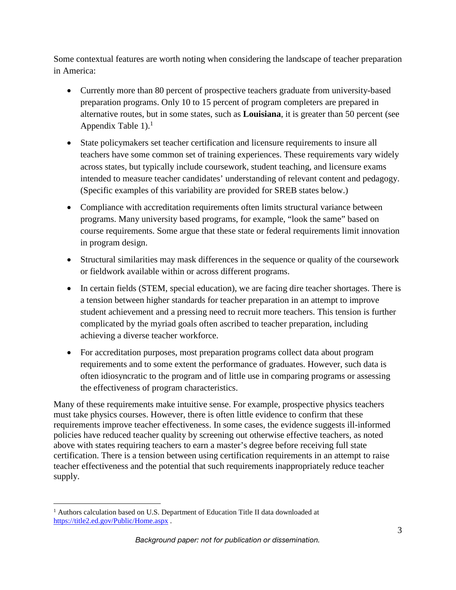Some contextual features are worth noting when considering the landscape of teacher preparation in America:

- Currently more than 80 percent of prospective teachers graduate from university-based preparation programs. Only 10 to 15 percent of program completers are prepared in alternative routes, but in some states, such as **Louisiana**, it is greater than 50 percent (see Appendix Table  $1$ ).<sup>1</sup>
- State policymakers set teacher certification and licensure requirements to insure all teachers have some common set of training experiences. These requirements vary widely across states, but typically include coursework, student teaching, and licensure exams intended to measure teacher candidates' understanding of relevant content and pedagogy. (Specific examples of this variability are provided for SREB states below.)
- Compliance with accreditation requirements often limits structural variance between programs. Many university based programs, for example, "look the same" based on course requirements. Some argue that these state or federal requirements limit innovation in program design.
- Structural similarities may mask differences in the sequence or quality of the coursework or fieldwork available within or across different programs.
- In certain fields (STEM, special education), we are facing dire teacher shortages. There is a tension between higher standards for teacher preparation in an attempt to improve student achievement and a pressing need to recruit more teachers. This tension is further complicated by the myriad goals often ascribed to teacher preparation, including achieving a diverse teacher workforce.
- For accreditation purposes, most preparation programs collect data about program requirements and to some extent the performance of graduates. However, such data is often idiosyncratic to the program and of little use in comparing programs or assessing the effectiveness of program characteristics.

Many of these requirements make intuitive sense. For example, prospective physics teachers must take physics courses. However, there is often little evidence to confirm that these requirements improve teacher effectiveness. In some cases, the evidence suggests ill-informed policies have reduced teacher quality by screening out otherwise effective teachers, as noted above with states requiring teachers to earn a master's degree before receiving full state certification. There is a tension between using certification requirements in an attempt to raise teacher effectiveness and the potential that such requirements inappropriately reduce teacher supply.

<sup>&</sup>lt;sup>1</sup> Authors calculation based on U.S. Department of Education Title II data downloaded at https://title2.ed.gov/Public/Home.aspx .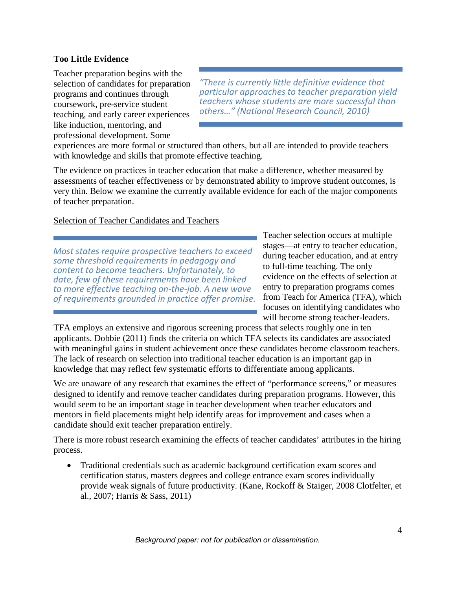## **Too Little Evidence**

Teacher preparation begins with the selection of candidates for preparation programs and continues through coursework, pre-service student teaching, and early career experiences like induction, mentoring, and professional development. Some

*"There is currently little definitive evidence that particular approaches to teacher preparation yield teachers whose students are more successful than others…" (National Research Council, 2010)*

experiences are more formal or structured than others, but all are intended to provide teachers with knowledge and skills that promote effective teaching.

The evidence on practices in teacher education that make a difference, whether measured by assessments of teacher effectiveness or by demonstrated ability to improve student outcomes, is very thin. Below we examine the currently available evidence for each of the major components of teacher preparation.

## Selection of Teacher Candidates and Teachers

*Most states require prospective teachers to exceed some threshold requirements in pedagogy and content to become teachers. Unfortunately, to date, few of these requirements have been linked to more effective teaching on-the-job. A new wave of requirements grounded in practice offer promise.* Teacher selection occurs at multiple stages—at entry to teacher education, during teacher education, and at entry to full-time teaching. The only evidence on the effects of selection at entry to preparation programs comes from Teach for America (TFA), which focuses on identifying candidates who will become strong teacher-leaders.

TFA employs an extensive and rigorous screening process that selects roughly one in ten applicants. Dobbie (2011) finds the criteria on which TFA selects its candidates are associated with meaningful gains in student achievement once these candidates become classroom teachers. The lack of research on selection into traditional teacher education is an important gap in knowledge that may reflect few systematic efforts to differentiate among applicants.

We are unaware of any research that examines the effect of "performance screens," or measures designed to identify and remove teacher candidates during preparation programs. However, this would seem to be an important stage in teacher development when teacher educators and mentors in field placements might help identify areas for improvement and cases when a candidate should exit teacher preparation entirely.

There is more robust research examining the effects of teacher candidates' attributes in the hiring process.

• Traditional credentials such as academic background certification exam scores and certification status, masters degrees and college entrance exam scores individually provide weak signals of future productivity. (Kane, Rockoff & Staiger, 2008 Clotfelter, et al., 2007; Harris & Sass, 2011)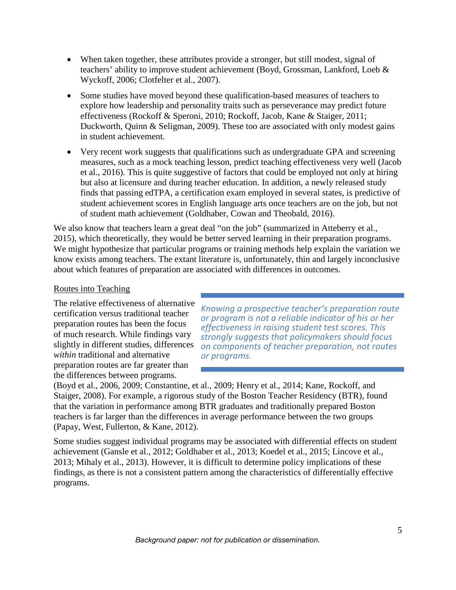- When taken together, these attributes provide a stronger, but still modest, signal of teachers' ability to improve student achievement (Boyd, Grossman, Lankford, Loeb & Wyckoff, 2006; Clotfelter et al., 2007).
- Some studies have moved beyond these qualification-based measures of teachers to explore how leadership and personality traits such as perseverance may predict future effectiveness (Rockoff & Speroni, 2010; Rockoff, Jacob, Kane & Staiger, 2011; Duckworth, Quinn & Seligman, 2009). These too are associated with only modest gains in student achievement.
- Very recent work suggests that qualifications such as undergraduate GPA and screening measures, such as a mock teaching lesson, predict teaching effectiveness very well (Jacob et al., 2016). This is quite suggestive of factors that could be employed not only at hiring but also at licensure and during teacher education. In addition, a newly released study finds that passing edTPA, a certification exam employed in several states, is predictive of student achievement scores in English language arts once teachers are on the job, but not of student math achievement (Goldhaber, Cowan and Theobald, 2016).

We also know that teachers learn a great deal "on the job" (summarized in Atteberry et al., 2015), which theoretically, they would be better served learning in their preparation programs. We might hypothesize that particular programs or training methods help explain the variation we know exists among teachers. The extant literature is, unfortunately, thin and largely inconclusive about which features of preparation are associated with differences in outcomes.

#### Routes into Teaching

The relative effectiveness of alternative certification versus traditional teacher preparation routes has been the focus of much research. While findings vary slightly in different studies, differences *within* traditional and alternative preparation routes are far greater than the differences between programs.

*Knowing a prospective teacher's preparation route or program is not a reliable indicator of his or her effectiveness in raising student test scores. This strongly suggests that policymakers should focus on components of teacher preparation, not routes or programs.*

(Boyd et al., 2006, 2009; Constantine, et al., 2009; Henry et al., 2014; Kane, Rockoff, and Staiger, 2008). For example, a rigorous study of the Boston Teacher Residency (BTR), found that the variation in performance among BTR graduates and traditionally prepared Boston teachers is far larger than the differences in average performance between the two groups (Papay, West, Fullerton, & Kane, 2012).

Some studies suggest individual programs may be associated with differential effects on student achievement (Gansle et al., 2012; Goldhaber et al., 2013; Koedel et al., 2015; Lincove et al., 2013; Mihaly et al., 2013). However, it is difficult to determine policy implications of these findings, as there is not a consistent pattern among the characteristics of differentially effective programs.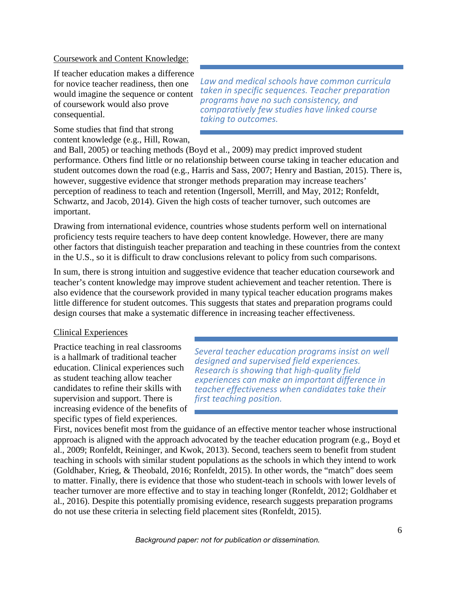#### Coursework and Content Knowledge:

If teacher education makes a difference for novice teacher readiness, then one would imagine the sequence or content of coursework would also prove consequential.

Some studies that find that strong content knowledge (e.g., Hill, Rowan,

*Law and medical schools have common curricula taken in specific sequences. Teacher preparation programs have no such consistency, and comparatively few studies have linked course taking to outcomes.*

and Ball, 2005) or teaching methods (Boyd et al., 2009) may predict improved student performance. Others find little or no relationship between course taking in teacher education and student outcomes down the road (e.g., Harris and Sass, 2007; Henry and Bastian, 2015). There is, however, suggestive evidence that stronger methods preparation may increase teachers' perception of readiness to teach and retention (Ingersoll, Merrill, and May, 2012; Ronfeldt, Schwartz, and Jacob, 2014). Given the high costs of teacher turnover, such outcomes are important.

Drawing from international evidence, countries whose students perform well on international proficiency tests require teachers to have deep content knowledge. However, there are many other factors that distinguish teacher preparation and teaching in these countries from the context in the U.S., so it is difficult to draw conclusions relevant to policy from such comparisons.

In sum, there is strong intuition and suggestive evidence that teacher education coursework and teacher's content knowledge may improve student achievement and teacher retention. There is also evidence that the coursework provided in many typical teacher education programs makes little difference for student outcomes. This suggests that states and preparation programs could design courses that make a systematic difference in increasing teacher effectiveness.

#### Clinical Experiences

Practice teaching in real classrooms is a hallmark of traditional teacher education. Clinical experiences such as student teaching allow teacher candidates to refine their skills with supervision and support. There is increasing evidence of the benefits of specific types of field experiences.

*Several teacher education programs insist on well designed and supervised field experiences. Research is showing that high-quality field experiences can make an important difference in teacher effectiveness when candidates take their first teaching position.*

First, novices benefit most from the guidance of an effective mentor teacher whose instructional approach is aligned with the approach advocated by the teacher education program (e.g., Boyd et al., 2009; Ronfeldt, Reininger, and Kwok, 2013). Second, teachers seem to benefit from student teaching in schools with similar student populations as the schools in which they intend to work (Goldhaber, Krieg, & Theobald, 2016; Ronfeldt, 2015). In other words, the "match" does seem to matter. Finally, there is evidence that those who student-teach in schools with lower levels of teacher turnover are more effective and to stay in teaching longer (Ronfeldt, 2012; Goldhaber et al., 2016). Despite this potentially promising evidence, research suggests preparation programs do not use these criteria in selecting field placement sites (Ronfeldt, 2015).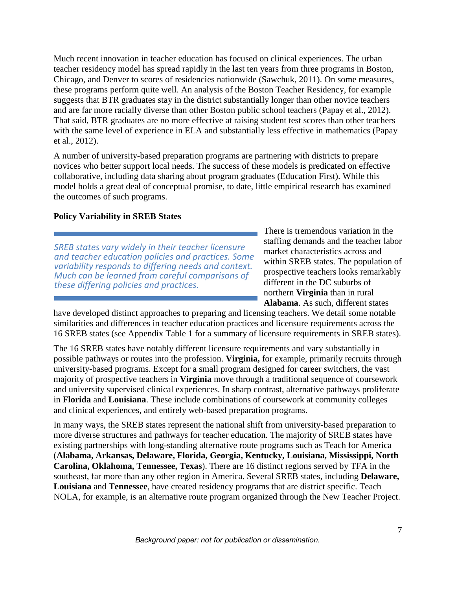Much recent innovation in teacher education has focused on clinical experiences. The urban teacher residency model has spread rapidly in the last ten years from three programs in Boston, Chicago, and Denver to scores of residencies nationwide (Sawchuk, 2011). On some measures, these programs perform quite well. An analysis of the Boston Teacher Residency, for example suggests that BTR graduates stay in the district substantially longer than other novice teachers and are far more racially diverse than other Boston public school teachers (Papay et al., 2012). That said, BTR graduates are no more effective at raising student test scores than other teachers with the same level of experience in ELA and substantially less effective in mathematics (Papay et al., 2012).

A number of university-based preparation programs are partnering with districts to prepare novices who better support local needs. The success of these models is predicated on effective collaborative, including data sharing about program graduates (Education First). While this model holds a great deal of conceptual promise, to date, little empirical research has examined the outcomes of such programs.

## **Policy Variability in SREB States**

*SREB states vary widely in their teacher licensure and teacher education policies and practices. Some variability responds to differing needs and context. Much can be learned from careful comparisons of these differing policies and practices.*

There is tremendous variation in the staffing demands and the teacher labor market characteristics across and within SREB states. The population of prospective teachers looks remarkably different in the DC suburbs of northern **Virginia** than in rural **Alabama**. As such, different states

have developed distinct approaches to preparing and licensing teachers. We detail some notable similarities and differences in teacher education practices and licensure requirements across the 16 SREB states (see Appendix Table 1 for a summary of licensure requirements in SREB states).

The 16 SREB states have notably different licensure requirements and vary substantially in possible pathways or routes into the profession. **Virginia,** for example, primarily recruits through university-based programs. Except for a small program designed for career switchers, the vast majority of prospective teachers in **Virginia** move through a traditional sequence of coursework and university supervised clinical experiences. In sharp contrast, alternative pathways proliferate in **Florida** and **Louisiana**. These include combinations of coursework at community colleges and clinical experiences, and entirely web-based preparation programs.

In many ways, the SREB states represent the national shift from university-based preparation to more diverse structures and pathways for teacher education. The majority of SREB states have existing partnerships with long-standing alternative route programs such as Teach for America (**Alabama, Arkansas, Delaware, Florida, Georgia, Kentucky, Louisiana, Mississippi, North Carolina, Oklahoma, Tennessee, Texas**). There are 16 distinct regions served by TFA in the southeast, far more than any other region in America. Several SREB states, including **Delaware, Louisiana** and **Tennessee**, have created residency programs that are district specific. Teach NOLA, for example, is an alternative route program organized through the New Teacher Project.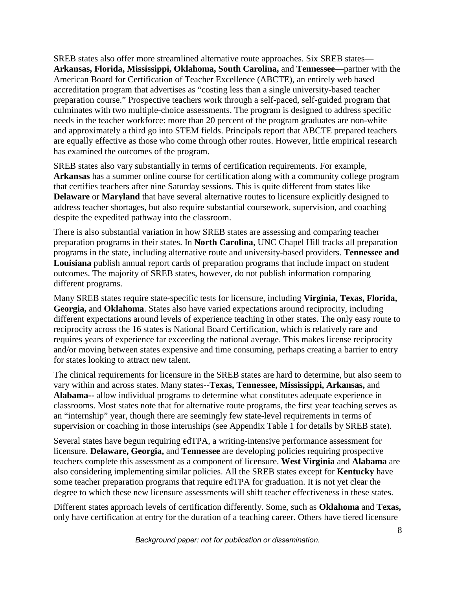SREB states also offer more streamlined alternative route approaches. Six SREB states— **Arkansas, Florida, Mississippi, Oklahoma, South Carolina,** and **Tennessee**—partner with the American Board for Certification of Teacher Excellence (ABCTE), an entirely web based accreditation program that advertises as "costing less than a single university-based teacher preparation course." Prospective teachers work through a self-paced, self-guided program that culminates with two multiple-choice assessments. The program is designed to address specific needs in the teacher workforce: more than 20 percent of the program graduates are non-white and approximately a third go into STEM fields. Principals report that ABCTE prepared teachers are equally effective as those who come through other routes. However, little empirical research has examined the outcomes of the program.

SREB states also vary substantially in terms of certification requirements. For example, **Arkansas** has a summer online course for certification along with a community college program that certifies teachers after nine Saturday sessions. This is quite different from states like **Delaware** or **Maryland** that have several alternative routes to licensure explicitly designed to address teacher shortages, but also require substantial coursework, supervision, and coaching despite the expedited pathway into the classroom.

There is also substantial variation in how SREB states are assessing and comparing teacher preparation programs in their states. In **North Carolina**, UNC Chapel Hill tracks all preparation programs in the state, including alternative route and university-based providers. **Tennessee and Louisiana** publish annual report cards of preparation programs that include impact on student outcomes. The majority of SREB states, however, do not publish information comparing different programs.

Many SREB states require state-specific tests for licensure, including **Virginia, Texas, Florida, Georgia,** and **Oklahoma**. States also have varied expectations around reciprocity, including different expectations around levels of experience teaching in other states. The only easy route to reciprocity across the 16 states is National Board Certification, which is relatively rare and requires years of experience far exceeding the national average. This makes license reciprocity and/or moving between states expensive and time consuming, perhaps creating a barrier to entry for states looking to attract new talent.

The clinical requirements for licensure in the SREB states are hard to determine, but also seem to vary within and across states. Many states--**Texas, Tennessee, Mississippi, Arkansas,** and **Alabama--** allow individual programs to determine what constitutes adequate experience in classrooms. Most states note that for alternative route programs, the first year teaching serves as an "internship" year, though there are seemingly few state-level requirements in terms of supervision or coaching in those internships (see Appendix Table 1 for details by SREB state).

Several states have begun requiring edTPA, a writing-intensive performance assessment for licensure. **Delaware, Georgia,** and **Tennessee** are developing policies requiring prospective teachers complete this assessment as a component of licensure. **West Virginia** and **Alabama** are also considering implementing similar policies. All the SREB states except for **Kentucky** have some teacher preparation programs that require edTPA for graduation. It is not yet clear the degree to which these new licensure assessments will shift teacher effectiveness in these states.

Different states approach levels of certification differently. Some, such as **Oklahoma** and **Texas,** only have certification at entry for the duration of a teaching career. Others have tiered licensure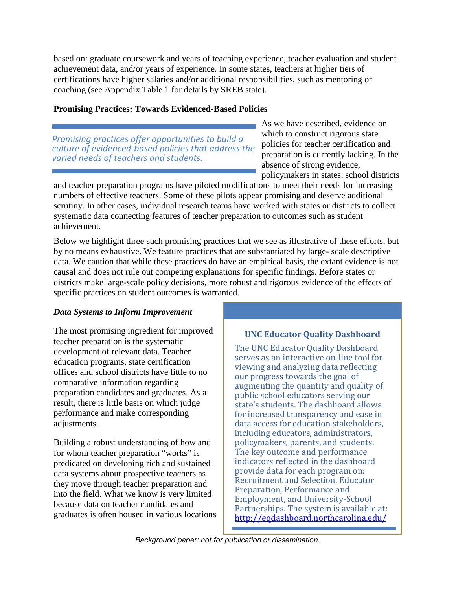based on: graduate coursework and years of teaching experience, teacher evaluation and student achievement data, and/or years of experience. In some states, teachers at higher tiers of certifications have higher salaries and/or additional responsibilities, such as mentoring or coaching (see Appendix Table 1 for details by SREB state).

## **Promising Practices: Towards Evidenced-Based Policies**

*Promising practices offer opportunities to build a culture of evidenced-based policies that address the varied needs of teachers and students.*

As we have described, evidence on which to construct rigorous state policies for teacher certification and preparation is currently lacking. In the absence of strong evidence, policymakers in states, school districts

and teacher preparation programs have piloted modifications to meet their needs for increasing numbers of effective teachers. Some of these pilots appear promising and deserve additional scrutiny. In other cases, individual research teams have worked with states or districts to collect systematic data connecting features of teacher preparation to outcomes such as student achievement.

Below we highlight three such promising practices that we see as illustrative of these efforts, but by no means exhaustive. We feature practices that are substantiated by large- scale descriptive data. We caution that while these practices do have an empirical basis, the extant evidence is not causal and does not rule out competing explanations for specific findings. Before states or districts make large-scale policy decisions, more robust and rigorous evidence of the effects of specific practices on student outcomes is warranted.

## *Data Systems to Inform Improvement*

The most promising ingredient for improved teacher preparation is the systematic development of relevant data. Teacher education programs, state certification offices and school districts have little to no comparative information regarding preparation candidates and graduates. As a result, there is little basis on which judge performance and make corresponding adjustments.

Building a robust understanding of how and for whom teacher preparation "works" is predicated on developing rich and sustained data systems about prospective teachers as they move through teacher preparation and into the field. What we know is very limited because data on teacher candidates and graduates is often housed in various locations

## **UNC Educator Quality Dashboard**

The UNC Educator Quality Dashboard serves as an interactive on-line tool for viewing and analyzing data reflecting our progress towards the goal of augmenting the quantity and quality of public school educators serving our state's students. The dashboard allows for increased transparency and ease in data access for education stakeholders, including educators, administrators, policymakers, parents, and students. The key outcome and performance indicators reflected in the dashboard provide data for each program on: Recruitment and Selection, Educator Preparation, Performance and Employment, and University-School Partnerships. The system is available at: http://eqdashboard.northcarolina.edu/

9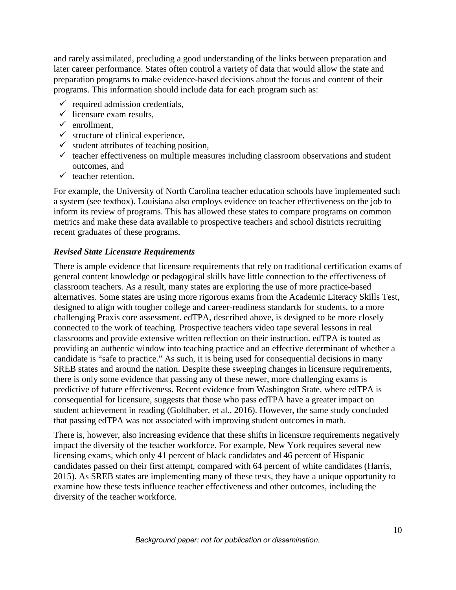and rarely assimilated, precluding a good understanding of the links between preparation and later career performance. States often control a variety of data that would allow the state and preparation programs to make evidence-based decisions about the focus and content of their programs. This information should include data for each program such as:

- $\checkmark$  required admission credentials.
- $\checkmark$  licensure exam results,
- $\checkmark$  enrollment,
- $\checkmark$  structure of clinical experience,
- $\checkmark$  student attributes of teaching position,
- $\checkmark$  teacher effectiveness on multiple measures including classroom observations and student outcomes, and
- $\checkmark$  teacher retention.

For example, the University of North Carolina teacher education schools have implemented such a system (see textbox). Louisiana also employs evidence on teacher effectiveness on the job to inform its review of programs. This has allowed these states to compare programs on common metrics and make these data available to prospective teachers and school districts recruiting recent graduates of these programs.

## *Revised State Licensure Requirements*

There is ample evidence that licensure requirements that rely on traditional certification exams of general content knowledge or pedagogical skills have little connection to the effectiveness of classroom teachers. As a result, many states are exploring the use of more practice-based alternatives. Some states are using more rigorous exams from the Academic Literacy Skills Test, designed to align with tougher college and career-readiness standards for students, to a more challenging Praxis core assessment. edTPA, described above, is designed to be more closely connected to the work of teaching. Prospective teachers video tape several lessons in real classrooms and provide extensive written reflection on their instruction. edTPA is touted as providing an authentic window into teaching practice and an effective determinant of whether a candidate is "safe to practice." As such, it is being used for consequential decisions in many SREB states and around the nation. Despite these sweeping changes in licensure requirements, there is only some evidence that passing any of these newer, more challenging exams is predictive of future effectiveness. Recent evidence from Washington State, where edTPA is consequential for licensure, suggests that those who pass edTPA have a greater impact on student achievement in reading (Goldhaber, et al., 2016). However, the same study concluded that passing edTPA was not associated with improving student outcomes in math.

There is, however, also increasing evidence that these shifts in licensure requirements negatively impact the diversity of the teacher workforce. For example, New York requires several new licensing exams, which only 41 percent of black candidates and 46 percent of Hispanic candidates passed on their first attempt, compared with 64 percent of white candidates (Harris, 2015). As SREB states are implementing many of these tests, they have a unique opportunity to examine how these tests influence teacher effectiveness and other outcomes, including the diversity of the teacher workforce.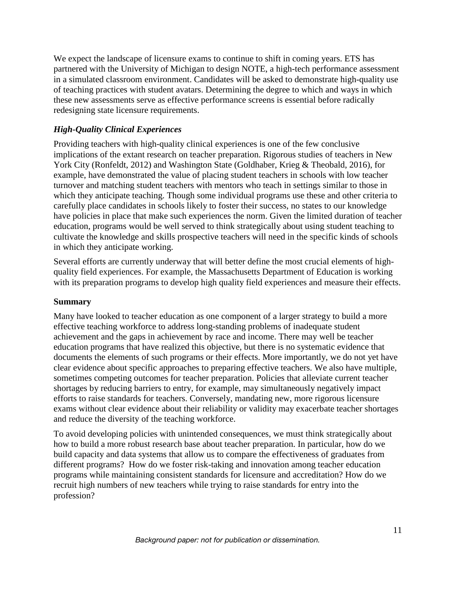We expect the landscape of licensure exams to continue to shift in coming years. ETS has partnered with the University of Michigan to design NOTE, a high-tech performance assessment in a simulated classroom environment. Candidates will be asked to demonstrate high-quality use of teaching practices with student avatars. Determining the degree to which and ways in which these new assessments serve as effective performance screens is essential before radically redesigning state licensure requirements.

## *High-Quality Clinical Experiences*

Providing teachers with high-quality clinical experiences is one of the few conclusive implications of the extant research on teacher preparation. Rigorous studies of teachers in New York City (Ronfeldt, 2012) and Washington State (Goldhaber, Krieg & Theobald, 2016), for example, have demonstrated the value of placing student teachers in schools with low teacher turnover and matching student teachers with mentors who teach in settings similar to those in which they anticipate teaching. Though some individual programs use these and other criteria to carefully place candidates in schools likely to foster their success, no states to our knowledge have policies in place that make such experiences the norm. Given the limited duration of teacher education, programs would be well served to think strategically about using student teaching to cultivate the knowledge and skills prospective teachers will need in the specific kinds of schools in which they anticipate working.

Several efforts are currently underway that will better define the most crucial elements of highquality field experiences. For example, the Massachusetts Department of Education is working with its preparation programs to develop high quality field experiences and measure their effects.

#### **Summary**

Many have looked to teacher education as one component of a larger strategy to build a more effective teaching workforce to address long-standing problems of inadequate student achievement and the gaps in achievement by race and income. There may well be teacher education programs that have realized this objective, but there is no systematic evidence that documents the elements of such programs or their effects. More importantly, we do not yet have clear evidence about specific approaches to preparing effective teachers. We also have multiple, sometimes competing outcomes for teacher preparation. Policies that alleviate current teacher shortages by reducing barriers to entry, for example, may simultaneously negatively impact efforts to raise standards for teachers. Conversely, mandating new, more rigorous licensure exams without clear evidence about their reliability or validity may exacerbate teacher shortages and reduce the diversity of the teaching workforce.

To avoid developing policies with unintended consequences, we must think strategically about how to build a more robust research base about teacher preparation. In particular, how do we build capacity and data systems that allow us to compare the effectiveness of graduates from different programs? How do we foster risk-taking and innovation among teacher education programs while maintaining consistent standards for licensure and accreditation? How do we recruit high numbers of new teachers while trying to raise standards for entry into the profession?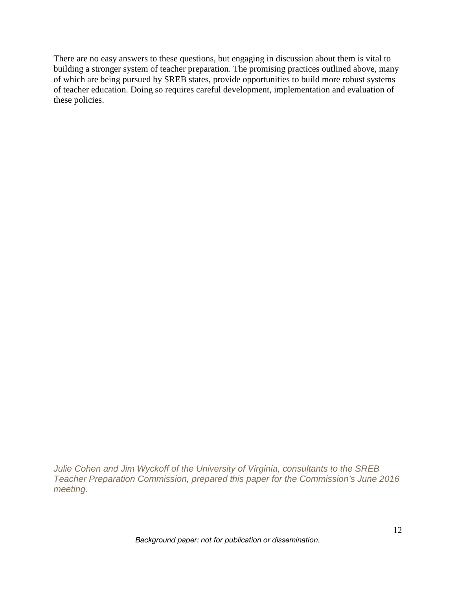There are no easy answers to these questions, but engaging in discussion about them is vital to building a stronger system of teacher preparation. The promising practices outlined above, many of which are being pursued by SREB states, provide opportunities to build more robust systems of teacher education. Doing so requires careful development, implementation and evaluation of these policies.

*Julie Cohen and Jim Wyckoff of the University of Virginia, consultants to the SREB Teacher Preparation Commission, prepared this paper for the Commission's June 2016 meeting.*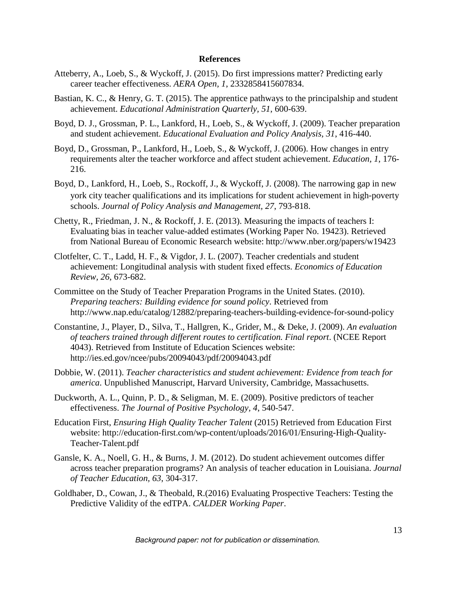#### **References**

- Atteberry, A., Loeb, S., & Wyckoff, J. (2015). Do first impressions matter? Predicting early career teacher effectiveness. *AERA Open, 1*, 2332858415607834.
- Bastian, K. C., & Henry, G. T. (2015). The apprentice pathways to the principalship and student achievement. *Educational Administration Quarterly, 51*, 600-639.
- Boyd, D. J., Grossman, P. L., Lankford, H., Loeb, S., & Wyckoff, J. (2009). Teacher preparation and student achievement. *Educational Evaluation and Policy Analysis, 31*, 416-440.
- Boyd, D., Grossman, P., Lankford, H., Loeb, S., & Wyckoff, J. (2006). How changes in entry requirements alter the teacher workforce and affect student achievement. *Education, 1*, 176- 216.
- Boyd, D., Lankford, H., Loeb, S., Rockoff, J., & Wyckoff, J. (2008). The narrowing gap in new york city teacher qualifications and its implications for student achievement in high-poverty schools. *Journal of Policy Analysis and Management, 27*, 793-818.
- Chetty, R., Friedman, J. N., & Rockoff, J. E. (2013). Measuring the impacts of teachers I: Evaluating bias in teacher value-added estimates (Working Paper No. 19423). Retrieved from National Bureau of Economic Research website: http://www.nber.org/papers/w19423
- Clotfelter, C. T., Ladd, H. F., & Vigdor, J. L. (2007). Teacher credentials and student achievement: Longitudinal analysis with student fixed effects. *Economics of Education Review, 26*, 673-682.
- Committee on the Study of Teacher Preparation Programs in the United States. (2010). *Preparing teachers: Building evidence for sound policy*. Retrieved from http://www.nap.edu/catalog/12882/preparing-teachers-building-evidence-for-sound-policy
- Constantine, J., Player, D., Silva, T., Hallgren, K., Grider, M., & Deke, J. (2009). *An evaluation of teachers trained through different routes to certification. Final report*. (NCEE Report 4043). Retrieved from Institute of Education Sciences website: http://ies.ed.gov/ncee/pubs/20094043/pdf/20094043.pdf
- Dobbie, W. (2011). *Teacher characteristics and student achievement: Evidence from teach for america*. Unpublished Manuscript, Harvard University, Cambridge, Massachusetts.
- Duckworth, A. L., Quinn, P. D., & Seligman, M. E. (2009). Positive predictors of teacher effectiveness. *The Journal of Positive Psychology, 4*, 540-547.
- Education First, *Ensuring High Quality Teacher Talent* (2015) Retrieved from Education First website: http://education-first.com/wp-content/uploads/2016/01/Ensuring-High-Quality-Teacher-Talent.pdf
- Gansle, K. A., Noell, G. H., & Burns, J. M. (2012). Do student achievement outcomes differ across teacher preparation programs? An analysis of teacher education in Louisiana. *Journal of Teacher Education, 63*, 304-317.
- Goldhaber, D., Cowan, J., & Theobald, R.(2016) Evaluating Prospective Teachers: Testing the Predictive Validity of the edTPA. *CALDER Working Paper*.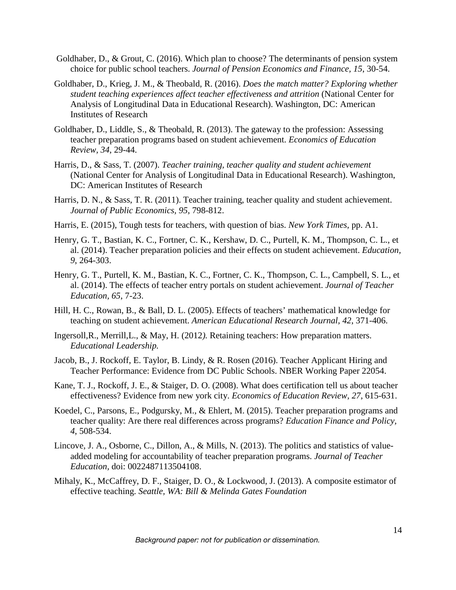- Goldhaber, D., & Grout, C. (2016). Which plan to choose? The determinants of pension system choice for public school teachers. *Journal of Pension Economics and Finance, 15*, 30-54.
- Goldhaber, D., Krieg, J. M., & Theobald, R. (2016). *Does the match matter? Exploring whether student teaching experiences affect teacher effectiveness and attrition* (National Center for Analysis of Longitudinal Data in Educational Research). Washington, DC: American Institutes of Research
- Goldhaber, D., Liddle, S., & Theobald, R. (2013). The gateway to the profession: Assessing teacher preparation programs based on student achievement. *Economics of Education Review, 34*, 29-44.
- Harris, D., & Sass, T. (2007). *Teacher training, teacher quality and student achievement* (National Center for Analysis of Longitudinal Data in Educational Research). Washington, DC: American Institutes of Research
- Harris, D. N., & Sass, T. R. (2011). Teacher training, teacher quality and student achievement. *Journal of Public Economics, 95*, 798-812.
- Harris, E. (2015), Tough tests for teachers, with question of bias. *New York Times,* pp. A1.
- Henry, G. T., Bastian, K. C., Fortner, C. K., Kershaw, D. C., Purtell, K. M., Thompson, C. L., et al. (2014). Teacher preparation policies and their effects on student achievement. *Education, 9*, 264-303.
- Henry, G. T., Purtell, K. M., Bastian, K. C., Fortner, C. K., Thompson, C. L., Campbell, S. L., et al. (2014). The effects of teacher entry portals on student achievement. *Journal of Teacher Education, 65*, 7-23.
- Hill, H. C., Rowan, B., & Ball, D. L. (2005). Effects of teachers' mathematical knowledge for teaching on student achievement. *American Educational Research Journal, 42*, 371-406.
- Ingersoll,R., Merrill,L., & May, H. (2012*).* Retaining teachers: How preparation matters. *Educational Leadership.*
- Jacob, B., J. Rockoff, E. Taylor, B. Lindy, & R. Rosen (2016). Teacher Applicant Hiring and Teacher Performance: Evidence from DC Public Schools. NBER Working Paper 22054.
- Kane, T. J., Rockoff, J. E., & Staiger, D. O. (2008). What does certification tell us about teacher effectiveness? Evidence from new york city. *Economics of Education Review, 27*, 615-631.
- Koedel, C., Parsons, E., Podgursky, M., & Ehlert, M. (2015). Teacher preparation programs and teacher quality: Are there real differences across programs? *Education Finance and Policy, 4*, 508-534.
- Lincove, J. A., Osborne, C., Dillon, A., & Mills, N. (2013). The politics and statistics of valueadded modeling for accountability of teacher preparation programs. *Journal of Teacher Education,* doi: 0022487113504108.
- Mihaly, K., McCaffrey, D. F., Staiger, D. O., & Lockwood, J. (2013). A composite estimator of effective teaching. *Seattle, WA: Bill & Melinda Gates Foundation*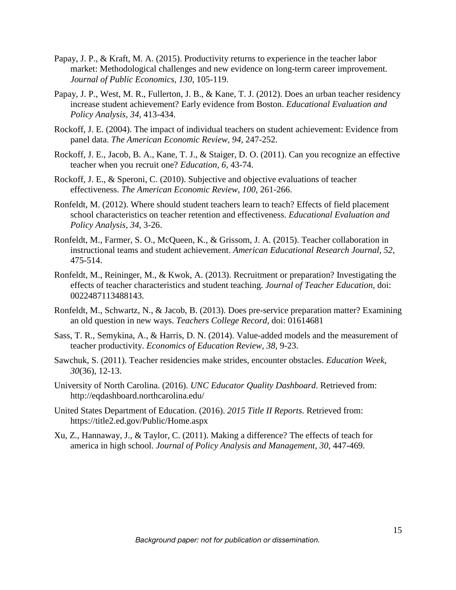- Papay, J. P., & Kraft, M. A. (2015). Productivity returns to experience in the teacher labor market: Methodological challenges and new evidence on long-term career improvement. *Journal of Public Economics, 130*, 105-119.
- Papay, J. P., West, M. R., Fullerton, J. B., & Kane, T. J. (2012). Does an urban teacher residency increase student achievement? Early evidence from Boston. *Educational Evaluation and Policy Analysis, 34*, 413-434.
- Rockoff, J. E. (2004). The impact of individual teachers on student achievement: Evidence from panel data. *The American Economic Review, 94*, 247-252.
- Rockoff, J. E., Jacob, B. A., Kane, T. J., & Staiger, D. O. (2011). Can you recognize an effective teacher when you recruit one? *Education, 6*, 43-74.
- Rockoff, J. E., & Speroni, C. (2010). Subjective and objective evaluations of teacher effectiveness. *The American Economic Review, 100*, 261-266.
- Ronfeldt, M. (2012). Where should student teachers learn to teach? Effects of field placement school characteristics on teacher retention and effectiveness. *Educational Evaluation and Policy Analysis, 34*, 3-26.
- Ronfeldt, M., Farmer, S. O., McQueen, K., & Grissom, J. A. (2015). Teacher collaboration in instructional teams and student achievement. *American Educational Research Journal, 52*, 475-514.
- Ronfeldt, M., Reininger, M., & Kwok, A. (2013). Recruitment or preparation? Investigating the effects of teacher characteristics and student teaching. *Journal of Teacher Education,* doi: 0022487113488143.
- Ronfeldt, M., Schwartz, N., & Jacob, B. (2013). Does pre-service preparation matter? Examining an old question in new ways. *Teachers College Record,* doi: 01614681
- Sass, T. R., Semykina, A., & Harris, D. N. (2014). Value-added models and the measurement of teacher productivity. *Economics of Education Review, 38*, 9-23.
- Sawchuk, S. (2011). Teacher residencies make strides, encounter obstacles. *Education Week, 30*(36), 12-13.
- University of North Carolina. (2016). *UNC Educator Quality Dashboard*. Retrieved from: http://eqdashboard.northcarolina.edu/
- United States Department of Education. (2016). *2015 Title II Reports*. Retrieved from: https://title2.ed.gov/Public/Home.aspx
- Xu, Z., Hannaway, J., & Taylor, C. (2011). Making a difference? The effects of teach for america in high school. *Journal of Policy Analysis and Management, 30*, 447-469.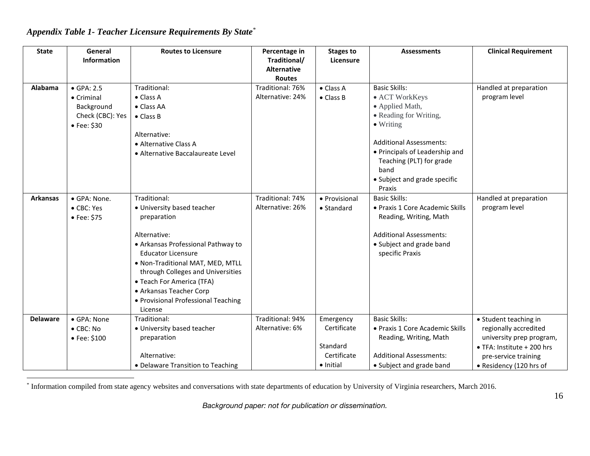#### **State General Information Routes to Licensure Percentage in Traditional/ Alternative Routes Stages to Licensure Assessments Clinical Requirement** Alabama  $\bullet$  GPA $\cdot$  2.5 • Criminal Background Check (CBC): Yes • Fee: \$30 Traditional: • Class A • Class AA • Class B Alternative: • Alternative Class A • Alternative Baccalaureate Level Traditional: 76% Alternative: 24% • Class A • Class B Basic Skills: • ACT WorkKeys • Applied Math, • Reading for Writing, • Writing Additional Assessments: • Principals of Leadership and Teaching (PLT) for grade band • Subject and grade specific Praxis Handled at preparation program level **Arkansas** • GPA: None. • CBC: Yes • Fee: \$75 Traditional: • University based teacher preparation Alternative: • Arkansas Professional Pathway to Educator Licensure • Non-Traditional MAT, MED, MTLL through Colleges and Universities • Teach For America (TFA) • Arkansas Teacher Corp • Provisional Professional Teaching License Traditional: 74% Alternative: 26% • Provisional • Standard Basic Skills: • Praxis 1 Core Academic Skills Reading, Writing, Math Additional Assessments: • Subject and grade band specific Praxis Handled at preparation program level **Delaware** • GPA: None • CBC: No • Fee: \$100 Traditional: • University based teacher preparation Alternative: • Delaware Transition to Teaching Traditional: 94% Alternative: 6% Emergency Certificate Standard Certificate • Initial Basic Skills: • Praxis 1 Core Academic Skills Reading, Writing, Math Additional Assessments: • Subject and grade band • Student teaching in regionally accredited university prep program, • TFA: Institute + 200 hrs pre-service training • Residency (120 hrs of

## *Appendix Table 1- Teacher Licensure Requirements By State\**

\* Information compiled from state agency websites and conversations with state departments of education by University of Virginia researchers, March 2016.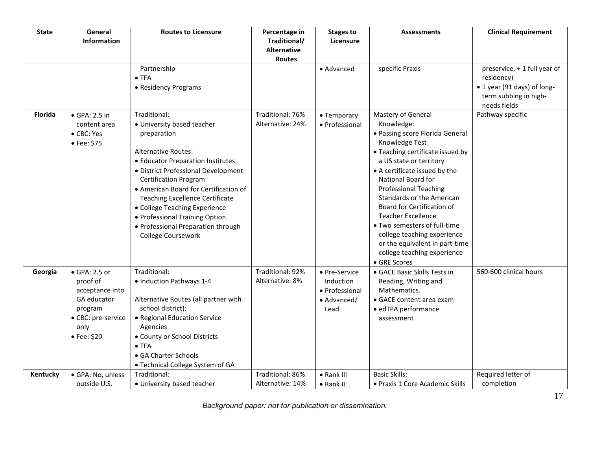| <b>State</b>   | General<br><b>Information</b>                                                                                               | <b>Routes to Licensure</b>                                                                                                                                                                                                                                                                                                                                                                                                   | Percentage in<br>Traditional/<br><b>Alternative</b><br><b>Routes</b> | <b>Stages to</b><br>Licensure                                       | <b>Assessments</b>                                                                                                                                                                                                                                                                                                                                                                                                                                                                  | <b>Clinical Requirement</b>                                                                                        |
|----------------|-----------------------------------------------------------------------------------------------------------------------------|------------------------------------------------------------------------------------------------------------------------------------------------------------------------------------------------------------------------------------------------------------------------------------------------------------------------------------------------------------------------------------------------------------------------------|----------------------------------------------------------------------|---------------------------------------------------------------------|-------------------------------------------------------------------------------------------------------------------------------------------------------------------------------------------------------------------------------------------------------------------------------------------------------------------------------------------------------------------------------------------------------------------------------------------------------------------------------------|--------------------------------------------------------------------------------------------------------------------|
|                |                                                                                                                             | Partnership<br>$\bullet$ TFA<br>• Residency Programs                                                                                                                                                                                                                                                                                                                                                                         |                                                                      | · Advanced                                                          | specific Praxis                                                                                                                                                                                                                                                                                                                                                                                                                                                                     | preservice, + 1 full year of<br>residency)<br>• 1 year (91 days) of long-<br>term subbing in high-<br>needs fields |
| <b>Florida</b> | $\bullet$ GPA: 2.5 in<br>content area<br>• CBC: Yes<br>• Fee: \$75                                                          | Traditional:<br>· University based teacher<br>preparation<br><b>Alternative Routes:</b><br>• Educator Preparation Institutes<br>· District Professional Development<br><b>Certification Program</b><br>• American Board for Certification of<br><b>Teaching Excellence Certificate</b><br>• College Teaching Experience<br>• Professional Training Option<br>• Professional Preparation through<br><b>College Coursework</b> | Traditional: 76%<br>Alternative: 24%                                 | • Temporary<br>· Professional                                       | Mastery of General<br>Knowledge:<br>• Passing score Florida General<br>Knowledge Test<br>• Teaching certificate issued by<br>a US state or territory<br>• A certificate issued by the<br>National Board for<br><b>Professional Teaching</b><br><b>Standards or the American</b><br>Board for Certification of<br>Teacher Excellence<br>• Two semesters of full-time<br>college teaching experience<br>or the equivalent in part-time<br>college teaching experience<br>• GRE Scores | Pathway specific                                                                                                   |
| Georgia        | • GPA: 2.5 or<br>proof of<br>acceptance into<br>GA educator<br>program<br>• CBC: pre-service<br>only<br>$\bullet$ Fee: \$20 | Traditional:<br>· Induction Pathways 1-4<br>Alternative Routes (all partner with<br>school district):<br>• Regional Education Service<br>Agencies<br>• County or School Districts<br>$\bullet$ TFA<br>• GA Charter Schools<br>• Technical College System of GA                                                                                                                                                               | Traditional: 92%<br>Alternative: 8%                                  | • Pre-Service<br>Induction<br>• Professional<br>• Advanced/<br>Lead | · GACE Basic Skills Tests in<br>Reading, Writing and<br>Mathematics.<br>• GACE content area exam<br>· edTPA performance<br>assessment                                                                                                                                                                                                                                                                                                                                               | 560-600 clinical hours                                                                                             |
| Kentucky       | · GPA: No, unless<br>outside U.S.                                                                                           | Traditional:<br>· University based teacher                                                                                                                                                                                                                                                                                                                                                                                   | Traditional: 86%<br>Alternative: 14%                                 | • Rank III<br>• Rank II                                             | <b>Basic Skills:</b><br>• Praxis 1 Core Academic Skills                                                                                                                                                                                                                                                                                                                                                                                                                             | Required letter of<br>completion                                                                                   |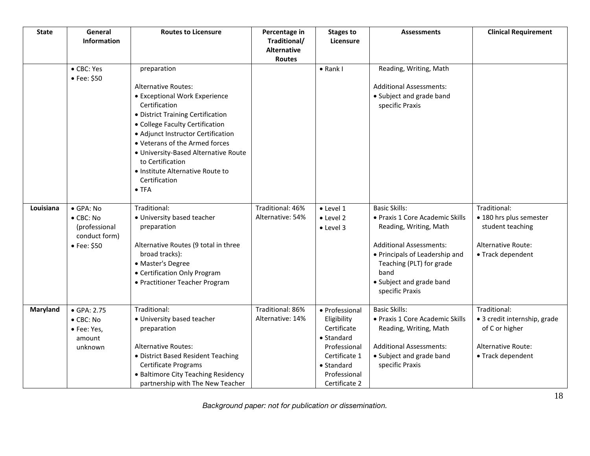| <b>State</b> | General<br><b>Information</b>                                                   | <b>Routes to Licensure</b>                                                                                                                                                                                                                                                                                                                                                    | Percentage in<br>Traditional/<br><b>Alternative</b><br>Routes | <b>Stages to</b><br>Licensure                                                                                                                      | <b>Assessments</b>                                                                                                                                                                                                                       | <b>Clinical Requirement</b>                                                                                      |
|--------------|---------------------------------------------------------------------------------|-------------------------------------------------------------------------------------------------------------------------------------------------------------------------------------------------------------------------------------------------------------------------------------------------------------------------------------------------------------------------------|---------------------------------------------------------------|----------------------------------------------------------------------------------------------------------------------------------------------------|------------------------------------------------------------------------------------------------------------------------------------------------------------------------------------------------------------------------------------------|------------------------------------------------------------------------------------------------------------------|
|              | • CBC: Yes<br>• Fee: \$50                                                       | preparation<br><b>Alternative Routes:</b><br>• Exceptional Work Experience<br>Certification<br>• District Training Certification<br>• College Faculty Certification<br>• Adjunct Instructor Certification<br>• Veterans of the Armed forces<br>· University-Based Alternative Route<br>to Certification<br>• Institute Alternative Route to<br>Certification<br>$\bullet$ TFA |                                                               | $\bullet$ Rank I                                                                                                                                   | Reading, Writing, Math<br><b>Additional Assessments:</b><br>• Subject and grade band<br>specific Praxis                                                                                                                                  |                                                                                                                  |
| Louisiana    | · GPA: No<br>$\bullet$ CBC: No<br>(professional<br>conduct form)<br>• Fee: \$50 | Traditional:<br>· University based teacher<br>preparation<br>Alternative Routes (9 total in three<br>broad tracks):<br>• Master's Degree<br>• Certification Only Program<br>• Practitioner Teacher Program                                                                                                                                                                    | Traditional: 46%<br>Alternative: 54%                          | $\bullet$ Level 1<br>$\bullet$ Level 2<br>• Level 3                                                                                                | <b>Basic Skills:</b><br>· Praxis 1 Core Academic Skills<br>Reading, Writing, Math<br><b>Additional Assessments:</b><br>• Principals of Leadership and<br>Teaching (PLT) for grade<br>band<br>• Subject and grade band<br>specific Praxis | Traditional:<br>· 180 hrs plus semester<br>student teaching<br>Alternative Route:<br>• Track dependent           |
| Maryland     | $\bullet$ GPA: 2.75<br>$\bullet$ CBC: No<br>· Fee: Yes,<br>amount<br>unknown    | Traditional:<br>· University based teacher<br>preparation<br><b>Alternative Routes:</b><br>· District Based Resident Teaching<br><b>Certificate Programs</b><br>• Baltimore City Teaching Residency<br>partnership with The New Teacher                                                                                                                                       | Traditional: 86%<br>Alternative: 14%                          | • Professional<br>Eligibility<br>Certificate<br>$\bullet$ Standard<br>Professional<br>Certificate 1<br>• Standard<br>Professional<br>Certificate 2 | <b>Basic Skills:</b><br>· Praxis 1 Core Academic Skills<br>Reading, Writing, Math<br><b>Additional Assessments:</b><br>• Subject and grade band<br>specific Praxis                                                                       | Traditional:<br>• 3 credit internship, grade<br>of C or higher<br><b>Alternative Route:</b><br>• Track dependent |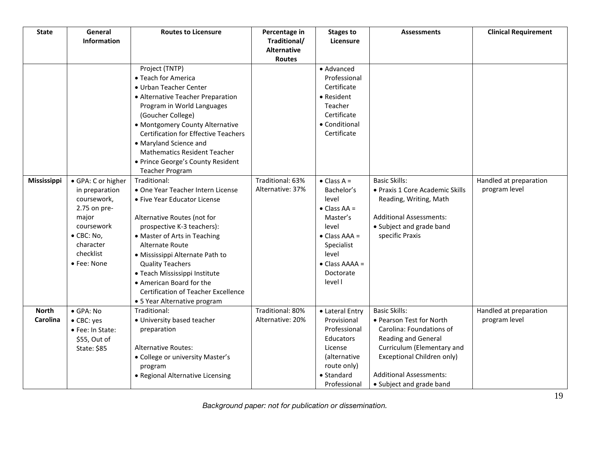| <b>State</b> | General            | <b>Routes to Licensure</b>                  | Percentage in                      | <b>Stages to</b>            | <b>Assessments</b>              | <b>Clinical Requirement</b> |
|--------------|--------------------|---------------------------------------------|------------------------------------|-----------------------------|---------------------------------|-----------------------------|
|              | <b>Information</b> |                                             | Traditional/<br><b>Alternative</b> | Licensure                   |                                 |                             |
|              |                    |                                             | Routes                             |                             |                                 |                             |
|              |                    | Project (TNTP)                              |                                    | • Advanced                  |                                 |                             |
|              |                    | • Teach for America                         |                                    | Professional                |                                 |                             |
|              |                    | • Urban Teacher Center                      |                                    | Certificate                 |                                 |                             |
|              |                    | • Alternative Teacher Preparation           |                                    | • Resident                  |                                 |                             |
|              |                    | Program in World Languages                  |                                    | Teacher                     |                                 |                             |
|              |                    | (Goucher College)                           |                                    | Certificate                 |                                 |                             |
|              |                    | • Montgomery County Alternative             |                                    | • Conditional               |                                 |                             |
|              |                    | <b>Certification for Effective Teachers</b> |                                    | Certificate                 |                                 |                             |
|              |                    | • Maryland Science and                      |                                    |                             |                                 |                             |
|              |                    | <b>Mathematics Resident Teacher</b>         |                                    |                             |                                 |                             |
|              |                    | • Prince George's County Resident           |                                    |                             |                                 |                             |
|              |                    | <b>Teacher Program</b>                      |                                    |                             |                                 |                             |
| Mississippi  | · GPA: C or higher | Traditional:                                | Traditional: 63%                   | $\bullet$ Class A =         | <b>Basic Skills:</b>            | Handled at preparation      |
|              | in preparation     | • One Year Teacher Intern License           | Alternative: 37%                   | Bachelor's                  | • Praxis 1 Core Academic Skills | program level               |
|              | coursework,        | • Five Year Educator License                |                                    | level                       | Reading, Writing, Math          |                             |
|              | 2.75 on pre-       |                                             |                                    | $\bullet$ Class AA =        |                                 |                             |
|              | major              | Alternative Routes (not for                 |                                    | Master's                    | <b>Additional Assessments:</b>  |                             |
|              | coursework         | prospective K-3 teachers):                  |                                    | level                       | • Subject and grade band        |                             |
|              | · CBC: No,         | • Master of Arts in Teaching                |                                    | $\bullet$ Class AAA =       | specific Praxis                 |                             |
|              | character          | <b>Alternate Route</b>                      |                                    | Specialist                  |                                 |                             |
|              | checklist          | · Mississippi Alternate Path to             |                                    | level                       |                                 |                             |
|              | • Fee: None        | <b>Quality Teachers</b>                     |                                    | $\bullet$ Class AAAA =      |                                 |                             |
|              |                    | • Teach Mississippi Institute               |                                    | Doctorate                   |                                 |                             |
|              |                    | • American Board for the                    |                                    | level I                     |                                 |                             |
|              |                    | <b>Certification of Teacher Excellence</b>  |                                    |                             |                                 |                             |
|              |                    | • 5 Year Alternative program                |                                    |                             |                                 |                             |
| <b>North</b> | · GPA: No          | Traditional:                                | Traditional: 80%                   | • Lateral Entry             | <b>Basic Skills:</b>            | Handled at preparation      |
| Carolina     | • CBC: yes         | · University based teacher                  | Alternative: 20%                   | Provisional                 | • Pearson Test for North        | program level               |
|              | • Fee: In State:   | preparation                                 |                                    | Professional                | Carolina: Foundations of        |                             |
|              | \$55, Out of       |                                             |                                    | Educators                   | <b>Reading and General</b>      |                             |
|              | State: \$85        | <b>Alternative Routes:</b>                  |                                    | License                     | Curriculum (Elementary and      |                             |
|              |                    | • College or university Master's            |                                    | (alternative<br>route only) | Exceptional Children only)      |                             |
|              |                    | program<br>• Regional Alternative Licensing |                                    | $\bullet$ Standard          | <b>Additional Assessments:</b>  |                             |
|              |                    |                                             |                                    | Professional                | • Subject and grade band        |                             |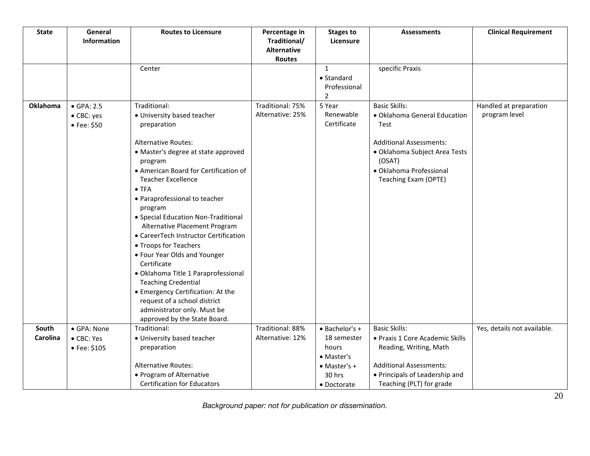| <b>State</b>    | General<br>Information | <b>Routes to Licensure</b>                                           | Percentage in<br>Traditional/ | <b>Stages to</b><br>Licensure | <b>Assessments</b>                      | <b>Clinical Requirement</b> |
|-----------------|------------------------|----------------------------------------------------------------------|-------------------------------|-------------------------------|-----------------------------------------|-----------------------------|
|                 |                        |                                                                      | <b>Alternative</b><br>Routes  |                               |                                         |                             |
|                 |                        | Center                                                               |                               | $\mathbf{1}$                  | specific Praxis                         |                             |
|                 |                        |                                                                      |                               | • Standard                    |                                         |                             |
|                 |                        |                                                                      |                               | Professional                  |                                         |                             |
|                 |                        |                                                                      |                               | $\overline{2}$                |                                         |                             |
| <b>Oklahoma</b> | $\bullet$ GPA: 2.5     | Traditional:                                                         | Traditional: 75%              | 5 Year                        | <b>Basic Skills:</b>                    | Handled at preparation      |
|                 | • CBC: yes             | • University based teacher                                           | Alternative: 25%              | Renewable                     | · Oklahoma General Education            | program level               |
|                 | • Fee: \$50            | preparation                                                          |                               | Certificate                   | Test                                    |                             |
|                 |                        | <b>Alternative Routes:</b>                                           |                               |                               | <b>Additional Assessments:</b>          |                             |
|                 |                        | • Master's degree at state approved<br>program                       |                               |                               | · Oklahoma Subject Area Tests<br>(OSAT) |                             |
|                 |                        | • American Board for Certification of                                |                               |                               | · Oklahoma Professional                 |                             |
|                 |                        | <b>Teacher Excellence</b>                                            |                               |                               | Teaching Exam (OPTE)                    |                             |
|                 |                        | $\bullet$ TFA                                                        |                               |                               |                                         |                             |
|                 |                        | • Paraprofessional to teacher                                        |                               |                               |                                         |                             |
|                 |                        | program                                                              |                               |                               |                                         |                             |
|                 |                        | • Special Education Non-Traditional<br>Alternative Placement Program |                               |                               |                                         |                             |
|                 |                        | • CareerTech Instructor Certification                                |                               |                               |                                         |                             |
|                 |                        | • Troops for Teachers                                                |                               |                               |                                         |                             |
|                 |                        | • Four Year Olds and Younger                                         |                               |                               |                                         |                             |
|                 |                        | Certificate                                                          |                               |                               |                                         |                             |
|                 |                        | · Oklahoma Title 1 Paraprofessional                                  |                               |                               |                                         |                             |
|                 |                        | <b>Teaching Credential</b>                                           |                               |                               |                                         |                             |
|                 |                        | • Emergency Certification: At the                                    |                               |                               |                                         |                             |
|                 |                        | request of a school district                                         |                               |                               |                                         |                             |
|                 |                        | administrator only. Must be<br>approved by the State Board.          |                               |                               |                                         |                             |
| South           | • GPA: None            | Traditional:                                                         | Traditional: 88%              | $\bullet$ Bachelor's +        | <b>Basic Skills:</b>                    | Yes, details not available. |
| Carolina        | • CBC: Yes             | • University based teacher                                           | Alternative: 12%              | 18 semester                   | • Praxis 1 Core Academic Skills         |                             |
|                 | • Fee: $$105$          | preparation                                                          |                               | hours                         | Reading, Writing, Math                  |                             |
|                 |                        |                                                                      |                               | • Master's                    |                                         |                             |
|                 |                        | <b>Alternative Routes:</b>                                           |                               | $\bullet$ Master's +          | <b>Additional Assessments:</b>          |                             |
|                 |                        | • Program of Alternative                                             |                               | 30 hrs                        | • Principals of Leadership and          |                             |
|                 |                        | <b>Certification for Educators</b>                                   |                               | • Doctorate                   | Teaching (PLT) for grade                |                             |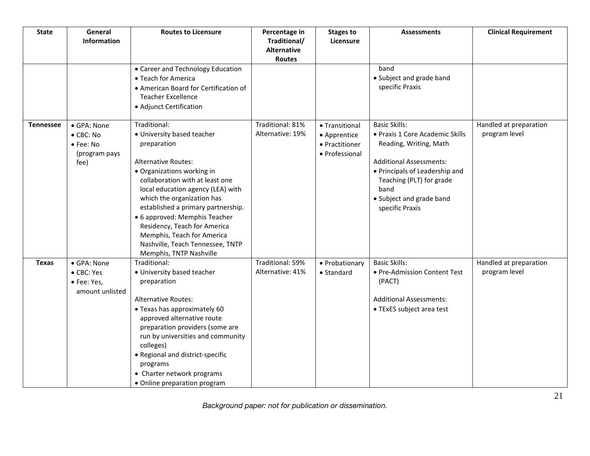| <b>State</b>     | General<br>Information             | <b>Routes to Licensure</b>                                         | Percentage in<br>Traditional/       | <b>Stages to</b><br>Licensure  | <b>Assessments</b>                          | <b>Clinical Requirement</b> |
|------------------|------------------------------------|--------------------------------------------------------------------|-------------------------------------|--------------------------------|---------------------------------------------|-----------------------------|
|                  |                                    |                                                                    | <b>Alternative</b><br><b>Routes</b> |                                |                                             |                             |
|                  |                                    | • Career and Technology Education                                  |                                     |                                | band                                        |                             |
|                  |                                    | • Teach for America                                                |                                     |                                | • Subject and grade band                    |                             |
|                  |                                    | • American Board for Certification of<br><b>Teacher Excellence</b> |                                     |                                | specific Praxis                             |                             |
|                  |                                    | • Adjunct Certification                                            |                                     |                                |                                             |                             |
|                  |                                    |                                                                    |                                     |                                |                                             |                             |
| <b>Tennessee</b> | • GPA: None                        | Traditional:                                                       | Traditional: 81%                    | • Transitional                 | <b>Basic Skills:</b>                        | Handled at preparation      |
|                  | $\bullet$ CBC: No                  | • University based teacher<br>preparation                          | Alternative: 19%                    | • Apprentice<br>• Practitioner | • Praxis 1 Core Academic Skills             | program level               |
|                  | $\bullet$ Fee: No<br>(program pays |                                                                    |                                     | • Professional                 | Reading, Writing, Math                      |                             |
|                  | fee)                               | <b>Alternative Routes:</b>                                         |                                     |                                | <b>Additional Assessments:</b>              |                             |
|                  |                                    | • Organizations working in                                         |                                     |                                | • Principals of Leadership and              |                             |
|                  |                                    | collaboration with at least one                                    |                                     |                                | Teaching (PLT) for grade                    |                             |
|                  |                                    | local education agency (LEA) with                                  |                                     |                                | band                                        |                             |
|                  |                                    | which the organization has<br>established a primary partnership.   |                                     |                                | • Subject and grade band<br>specific Praxis |                             |
|                  |                                    | • 6 approved: Memphis Teacher                                      |                                     |                                |                                             |                             |
|                  |                                    | Residency, Teach for America                                       |                                     |                                |                                             |                             |
|                  |                                    | Memphis, Teach for America                                         |                                     |                                |                                             |                             |
|                  |                                    | Nashville, Teach Tennessee, TNTP                                   |                                     |                                |                                             |                             |
|                  |                                    | Memphis, TNTP Nashville                                            |                                     |                                |                                             |                             |
| <b>Texas</b>     | • GPA: None                        | Traditional:                                                       | Traditional: 59%                    | • Probationary                 | <b>Basic Skills:</b>                        | Handled at preparation      |
|                  | • CBC: Yes<br>• Fee: Yes,          | • University based teacher<br>preparation                          | Alternative: 41%                    | $\bullet$ Standard             | • Pre-Admission Content Test<br>(PACT)      | program level               |
|                  | amount unlisted                    |                                                                    |                                     |                                |                                             |                             |
|                  |                                    | <b>Alternative Routes:</b>                                         |                                     |                                | <b>Additional Assessments:</b>              |                             |
|                  |                                    | • Texas has approximately 60                                       |                                     |                                | • TExES subject area test                   |                             |
|                  |                                    | approved alternative route                                         |                                     |                                |                                             |                             |
|                  |                                    | preparation providers (some are                                    |                                     |                                |                                             |                             |
|                  |                                    | run by universities and community                                  |                                     |                                |                                             |                             |
|                  |                                    | colleges)<br>• Regional and district-specific                      |                                     |                                |                                             |                             |
|                  |                                    | programs                                                           |                                     |                                |                                             |                             |
|                  |                                    | • Charter network programs                                         |                                     |                                |                                             |                             |
|                  |                                    | • Online preparation program                                       |                                     |                                |                                             |                             |